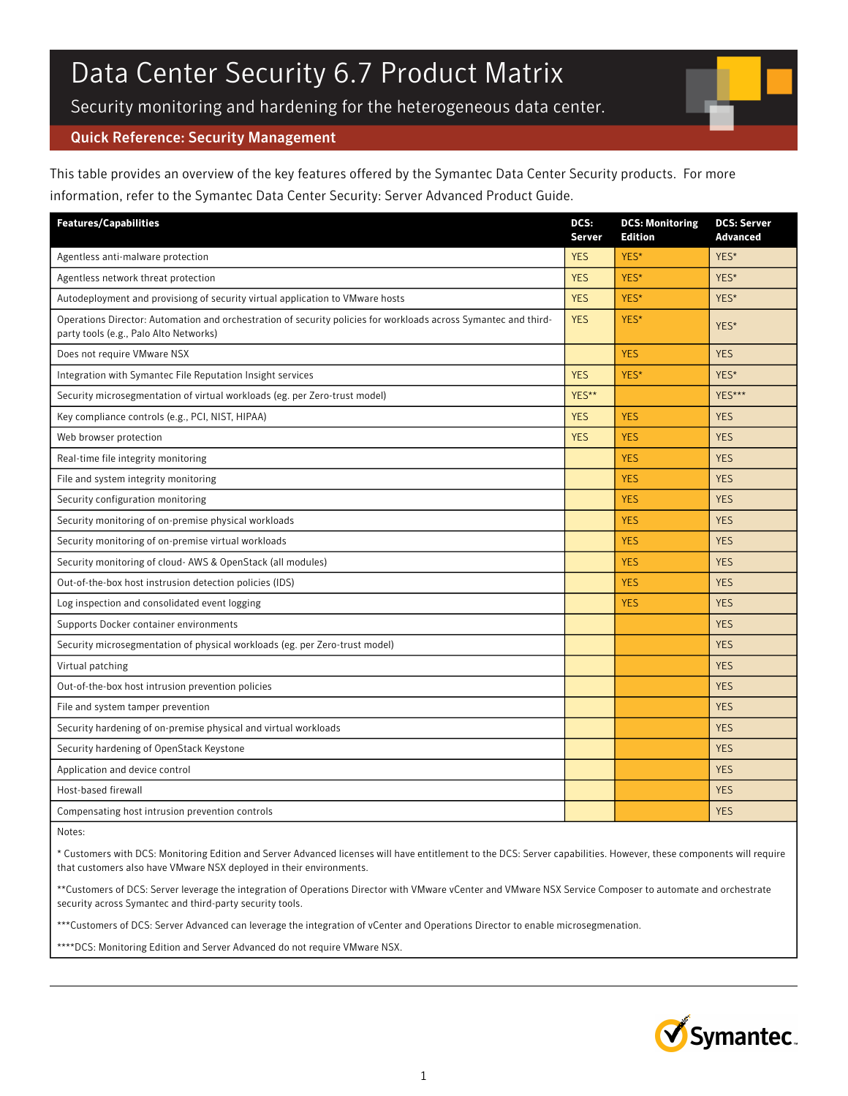# Data Center Security 6.7 Product Matrix

Security monitoring and hardening for the heterogeneous data center.

## Quick Reference: Security Management

This table provides an overview of the key features offered by the Symantec Data Center Security products. For more information, refer to the Symantec Data Center Security: Server Advanced Product Guide.

| <b>Features/Capabilities</b>                                                                                                                              | DCS:<br>Server | <b>DCS: Monitoring</b><br><b>Edition</b> | <b>DCS: Server</b><br><b>Advanced</b> |
|-----------------------------------------------------------------------------------------------------------------------------------------------------------|----------------|------------------------------------------|---------------------------------------|
| Agentless anti-malware protection                                                                                                                         | <b>YES</b>     | YES*                                     | YES*                                  |
| Agentless network threat protection                                                                                                                       | <b>YES</b>     | YES*                                     | YES*                                  |
| Autodeployment and provisiong of security virtual application to VMware hosts                                                                             | <b>YES</b>     | YES*                                     | YES*                                  |
| Operations Director: Automation and orchestration of security policies for workloads across Symantec and third-<br>party tools (e.g., Palo Alto Networks) | <b>YES</b>     | YES*                                     | YES*                                  |
| Does not require VMware NSX                                                                                                                               |                | <b>YES</b>                               | <b>YES</b>                            |
| Integration with Symantec File Reputation Insight services                                                                                                | <b>YES</b>     | YES*                                     | YES*                                  |
| Security microsegmentation of virtual workloads (eg. per Zero-trust model)                                                                                | YES**          |                                          | YES***                                |
| Key compliance controls (e.g., PCI, NIST, HIPAA)                                                                                                          | <b>YES</b>     | <b>YES</b>                               | <b>YES</b>                            |
| Web browser protection                                                                                                                                    | <b>YES</b>     | <b>YES</b>                               | <b>YES</b>                            |
| Real-time file integrity monitoring                                                                                                                       |                | <b>YES</b>                               | <b>YES</b>                            |
| File and system integrity monitoring                                                                                                                      |                | <b>YES</b>                               | <b>YES</b>                            |
| Security configuration monitoring                                                                                                                         |                | <b>YES</b>                               | <b>YES</b>                            |
| Security monitoring of on-premise physical workloads                                                                                                      |                | <b>YES</b>                               | <b>YES</b>                            |
| Security monitoring of on-premise virtual workloads                                                                                                       |                | <b>YES</b>                               | <b>YES</b>                            |
| Security monitoring of cloud- AWS & OpenStack (all modules)                                                                                               |                | <b>YES</b>                               | <b>YES</b>                            |
| Out-of-the-box host instrusion detection policies (IDS)                                                                                                   |                | <b>YES</b>                               | <b>YES</b>                            |
| Log inspection and consolidated event logging                                                                                                             |                | <b>YES</b>                               | <b>YES</b>                            |
| Supports Docker container environments                                                                                                                    |                |                                          | <b>YES</b>                            |
| Security microsegmentation of physical workloads (eg. per Zero-trust model)                                                                               |                |                                          | <b>YES</b>                            |
| Virtual patching                                                                                                                                          |                |                                          | <b>YES</b>                            |
| Out-of-the-box host intrusion prevention policies                                                                                                         |                |                                          | <b>YES</b>                            |
| File and system tamper prevention                                                                                                                         |                |                                          | <b>YES</b>                            |
| Security hardening of on-premise physical and virtual workloads                                                                                           |                |                                          | <b>YES</b>                            |
| Security hardening of OpenStack Keystone                                                                                                                  |                |                                          | <b>YES</b>                            |
| Application and device control                                                                                                                            |                |                                          | <b>YES</b>                            |
| Host-based firewall                                                                                                                                       |                |                                          | <b>YES</b>                            |
| Compensating host intrusion prevention controls                                                                                                           |                |                                          | <b>YES</b>                            |

Notes:

\* Customers with DCS: Monitoring Edition and Server Advanced licenses will have entitlement to the DCS: Server capabilities. However, these components will require that customers also have VMware NSX deployed in their environments.

\*\*Customers of DCS: Server leverage the integration of Operations Director with VMware vCenter and VMware NSX Service Composer to automate and orchestrate security across Symantec and third-party security tools.

\*\*\*Customers of DCS: Server Advanced can leverage the integration of vCenter and Operations Director to enable microsegmenation.

\*\*\*\*DCS: Monitoring Edition and Server Advanced do not require VMware NSX.